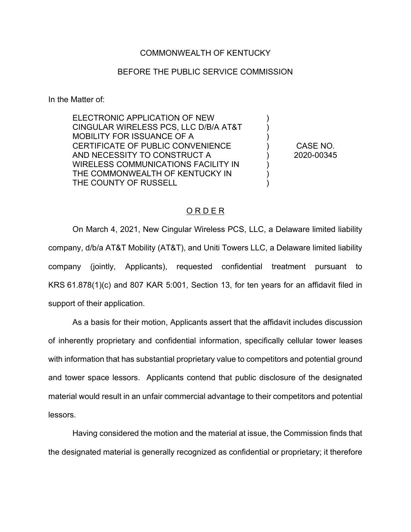## COMMONWEALTH OF KENTUCKY

## BEFORE THE PUBLIC SERVICE COMMISSION

In the Matter of:

ELECTRONIC APPLICATION OF NEW CINGULAR WIRELESS PCS, LLC D/B/A AT&T MOBILITY FOR ISSUANCE OF A CERTIFICATE OF PUBLIC CONVENIENCE AND NECESSITY TO CONSTRUCT A WIRELESS COMMUNICATIONS FACILITY IN THE COMMONWEALTH OF KENTUCKY IN THE COUNTY OF RUSSELL

CASE NO. 2020-00345

) ) ) ) ) ) ) )

## O R D E R

On March 4, 2021, New Cingular Wireless PCS, LLC, a Delaware limited liability company, d/b/a AT&T Mobility (AT&T), and Uniti Towers LLC, a Delaware limited liability company (jointly, Applicants), requested confidential treatment pursuant to KRS 61.878(1)(c) and 807 KAR 5:001, Section 13, for ten years for an affidavit filed in support of their application.

As a basis for their motion, Applicants assert that the affidavit includes discussion of inherently proprietary and confidential information, specifically cellular tower leases with information that has substantial proprietary value to competitors and potential ground and tower space lessors. Applicants contend that public disclosure of the designated material would result in an unfair commercial advantage to their competitors and potential lessors.

Having considered the motion and the material at issue, the Commission finds that the designated material is generally recognized as confidential or proprietary; it therefore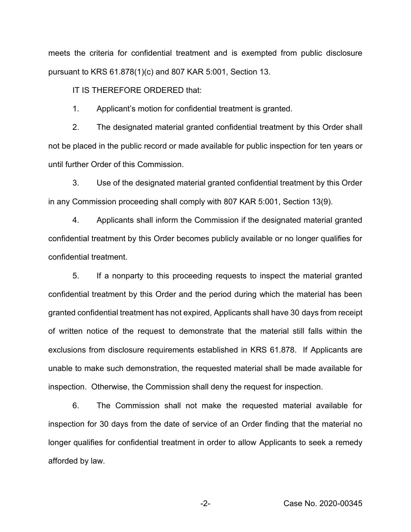meets the criteria for confidential treatment and is exempted from public disclosure pursuant to KRS 61.878(1)(c) and 807 KAR 5:001, Section 13.

IT IS THEREFORE ORDERED that:

1. Applicant's motion for confidential treatment is granted.

2. The designated material granted confidential treatment by this Order shall not be placed in the public record or made available for public inspection for ten years or until further Order of this Commission.

3. Use of the designated material granted confidential treatment by this Order in any Commission proceeding shall comply with 807 KAR 5:001, Section 13(9).

4. Applicants shall inform the Commission if the designated material granted confidential treatment by this Order becomes publicly available or no longer qualifies for confidential treatment.

5. If a nonparty to this proceeding requests to inspect the material granted confidential treatment by this Order and the period during which the material has been granted confidential treatment has not expired, Applicants shall have 30 days from receipt of written notice of the request to demonstrate that the material still falls within the exclusions from disclosure requirements established in KRS 61.878. If Applicants are unable to make such demonstration, the requested material shall be made available for inspection. Otherwise, the Commission shall deny the request for inspection.

6. The Commission shall not make the requested material available for inspection for 30 days from the date of service of an Order finding that the material no longer qualifies for confidential treatment in order to allow Applicants to seek a remedy afforded by law.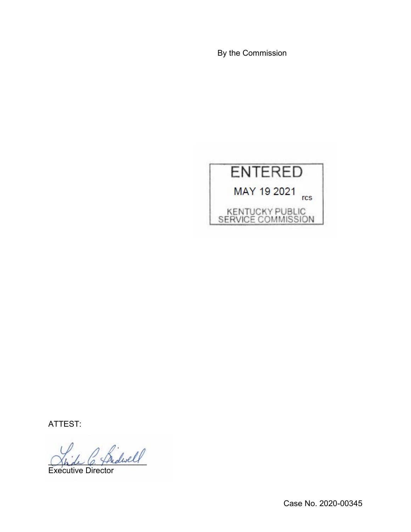By the Commission



ATTEST:

 $\int$  fridwell

Executive Director

Case No. 2020-00345